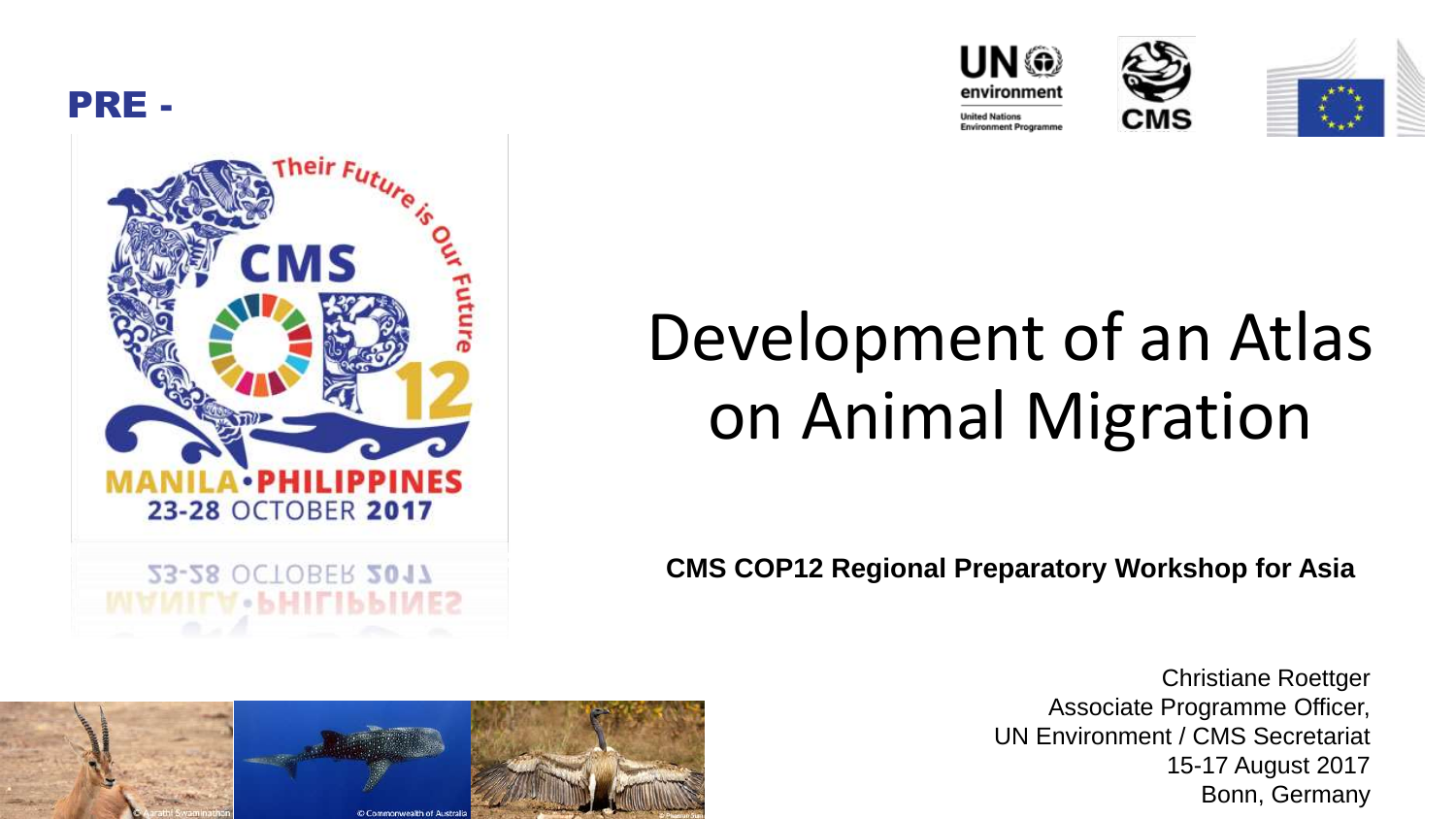











## Development of an Atlas on Animal Migration

**CMS COP12 Regional Preparatory Workshop for Asia**



Christiane Roettger Associate Programme Officer, UN Environment / CMS Secretariat 15-17 August 2017 Bonn, Germany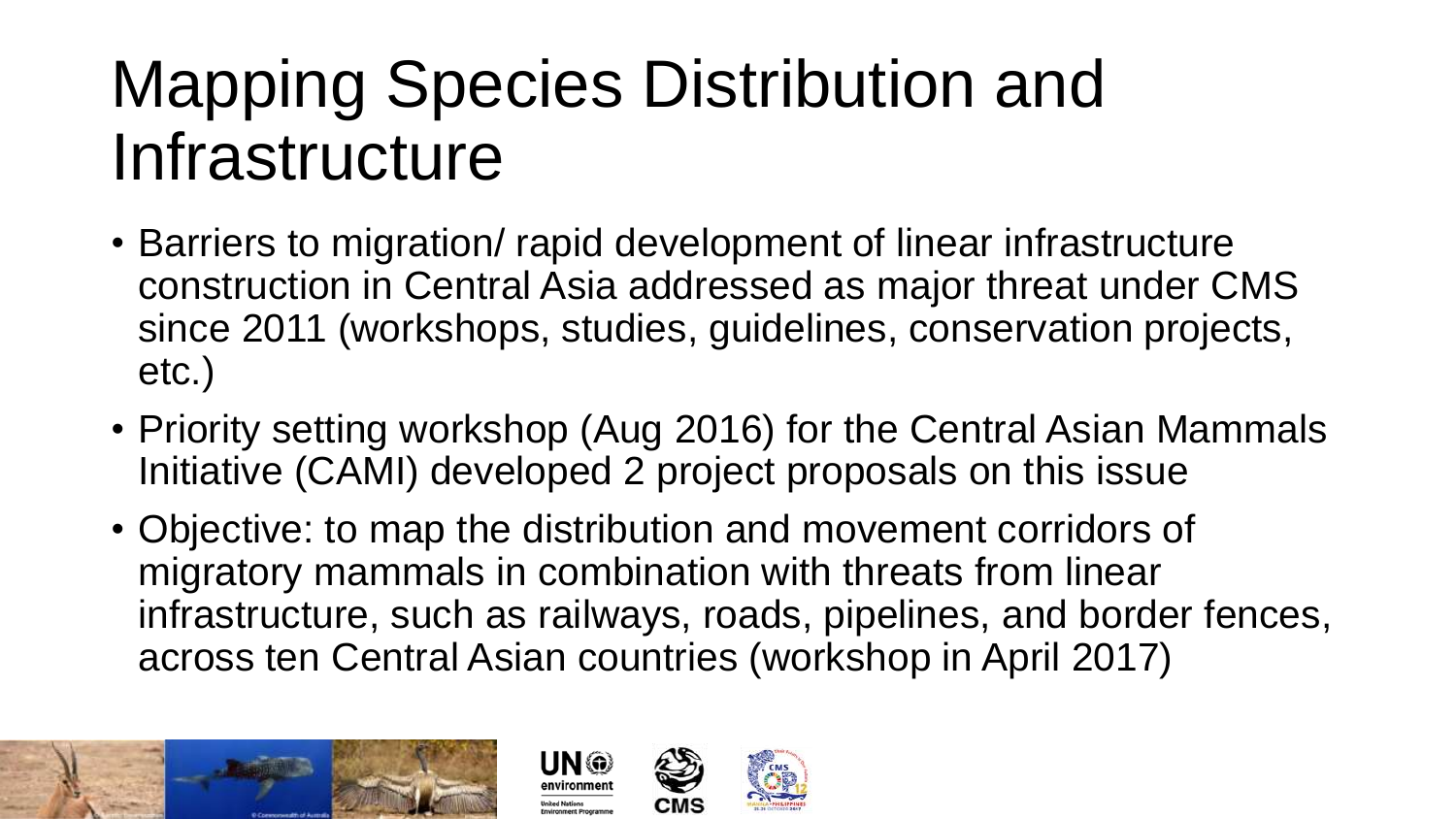### Mapping Species Distribution and Infrastructure

- Barriers to migration/ rapid development of linear infrastructure construction in Central Asia addressed as major threat under CMS since 2011 (workshops, studies, guidelines, conservation projects, etc.)
- Priority setting workshop (Aug 2016) for the Central Asian Mammals Initiative (CAMI) developed 2 project proposals on this issue
- Objective: to map the distribution and movement corridors of migratory mammals in combination with threats from linear infrastructure, such as railways, roads, pipelines, and border fences, across ten Central Asian countries (workshop in April 2017)





UN @

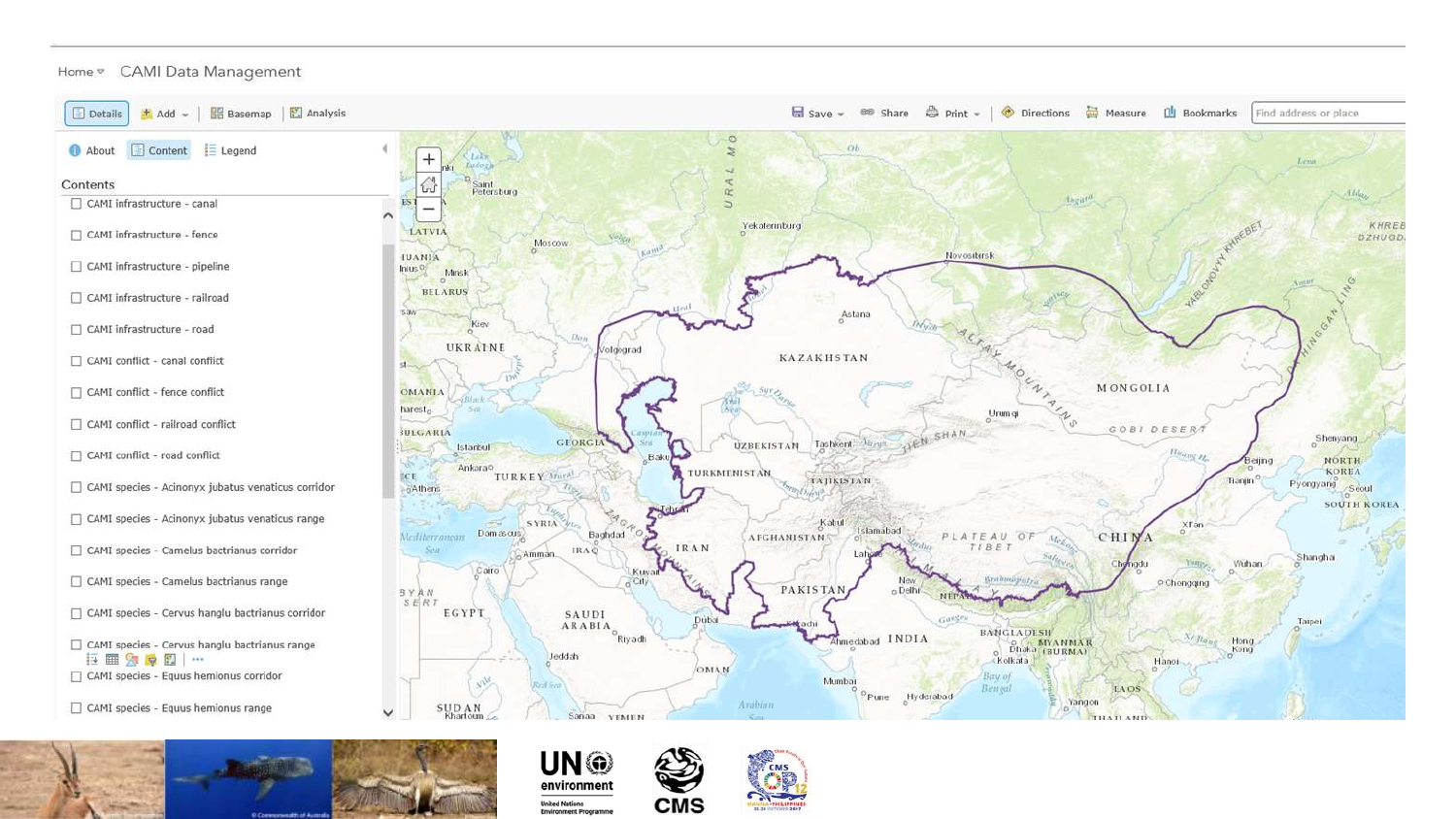



**CMS** 

UN @ environment

**United Nations Environment Programme** 

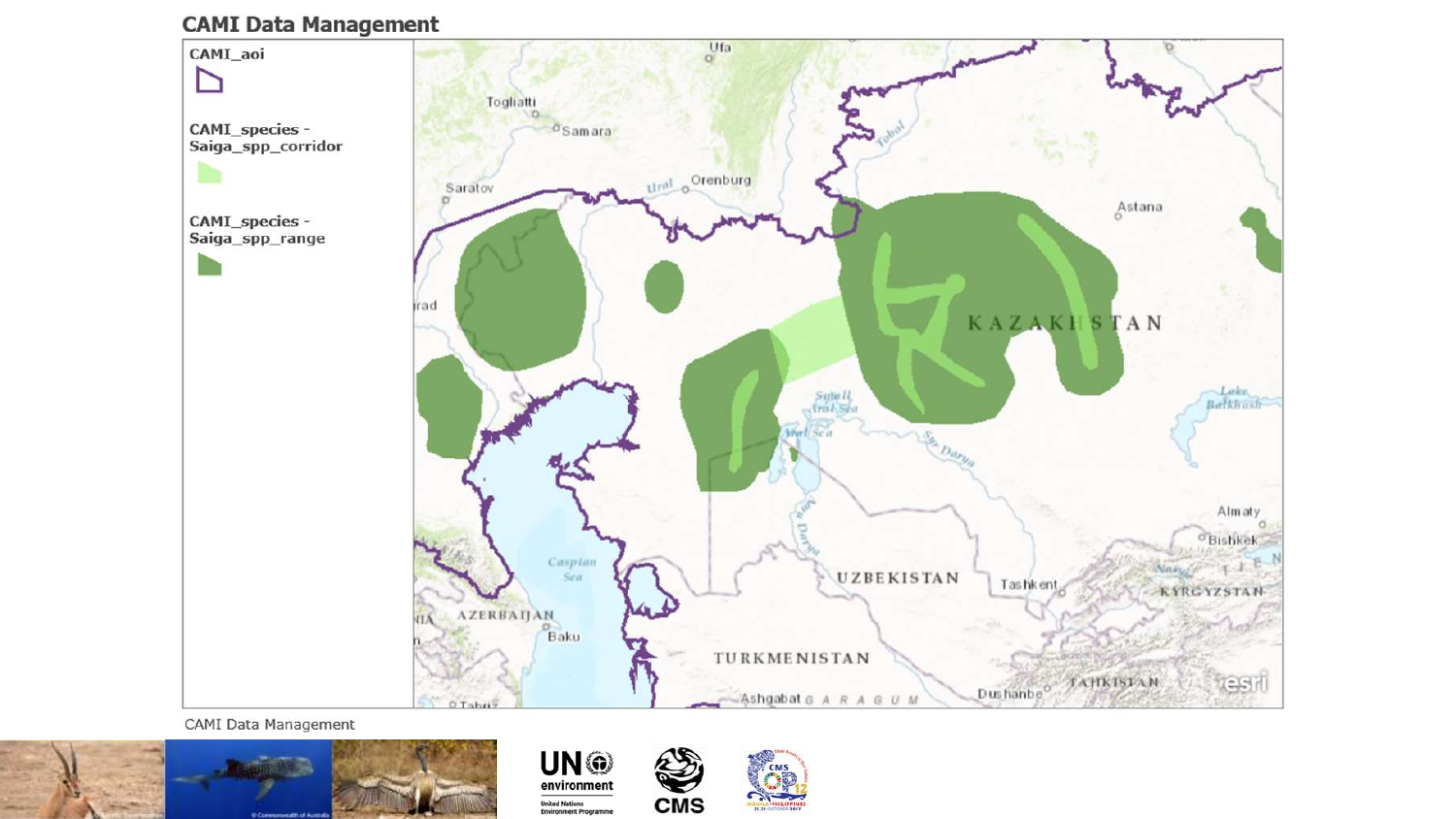





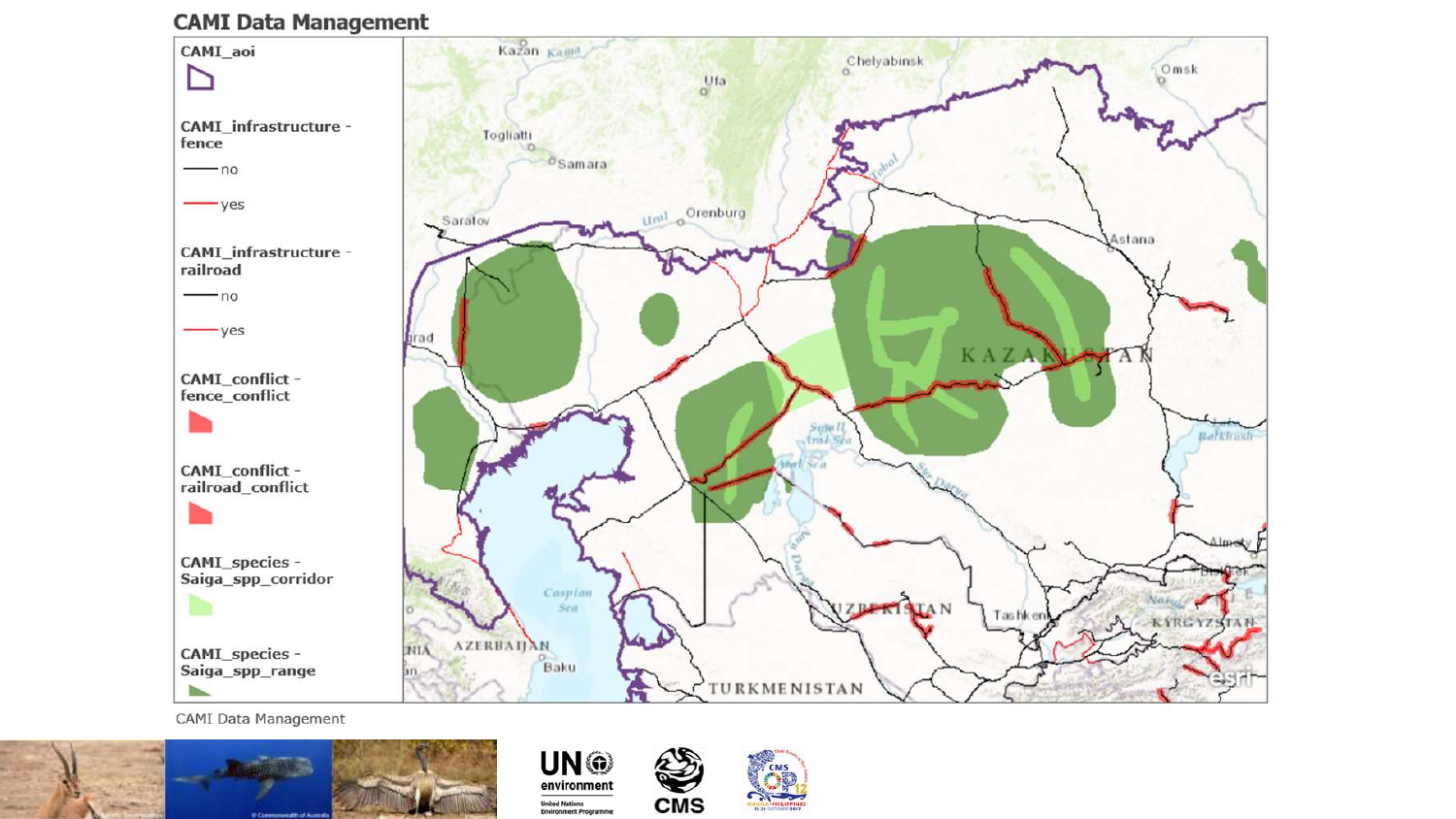





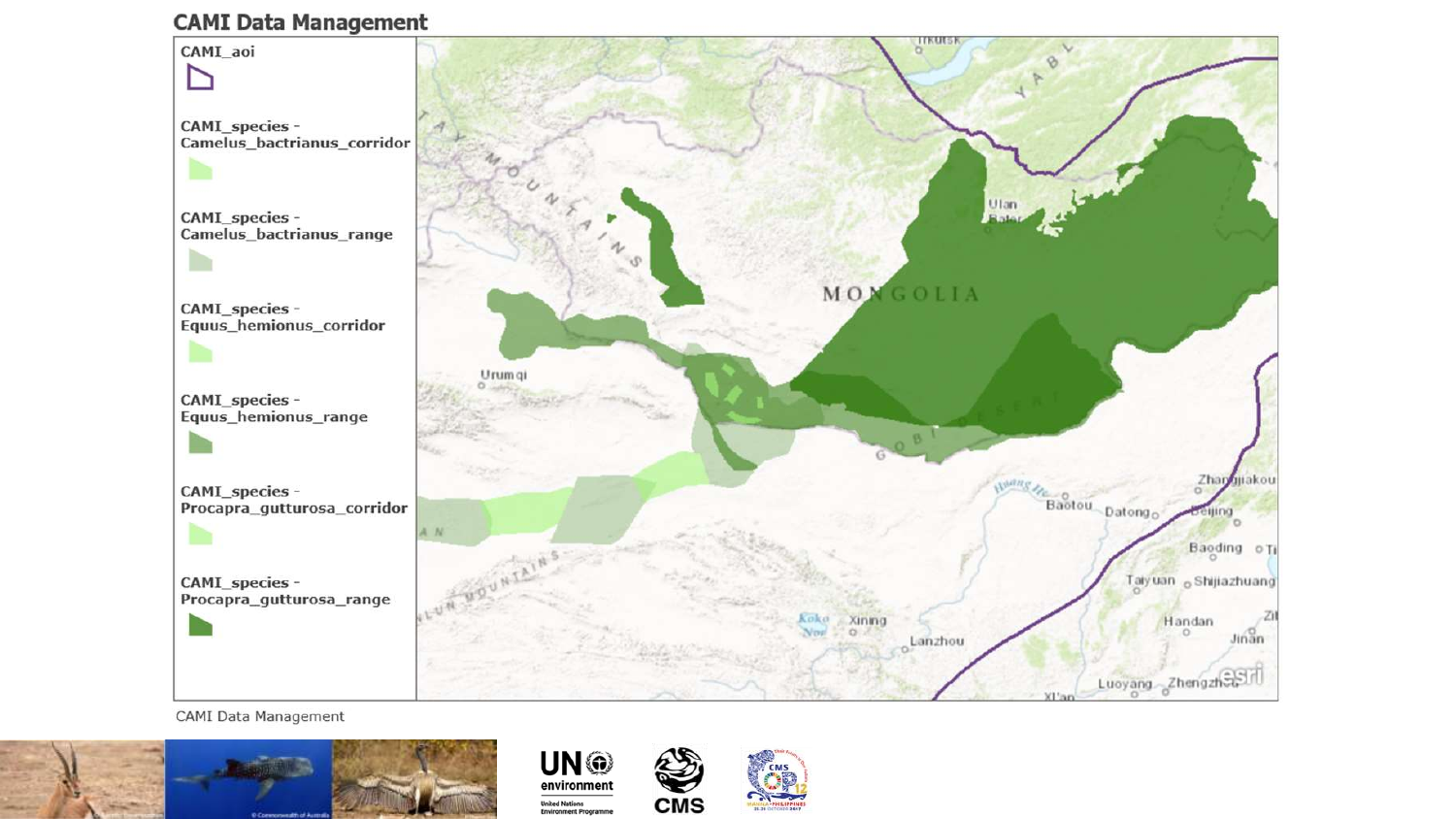





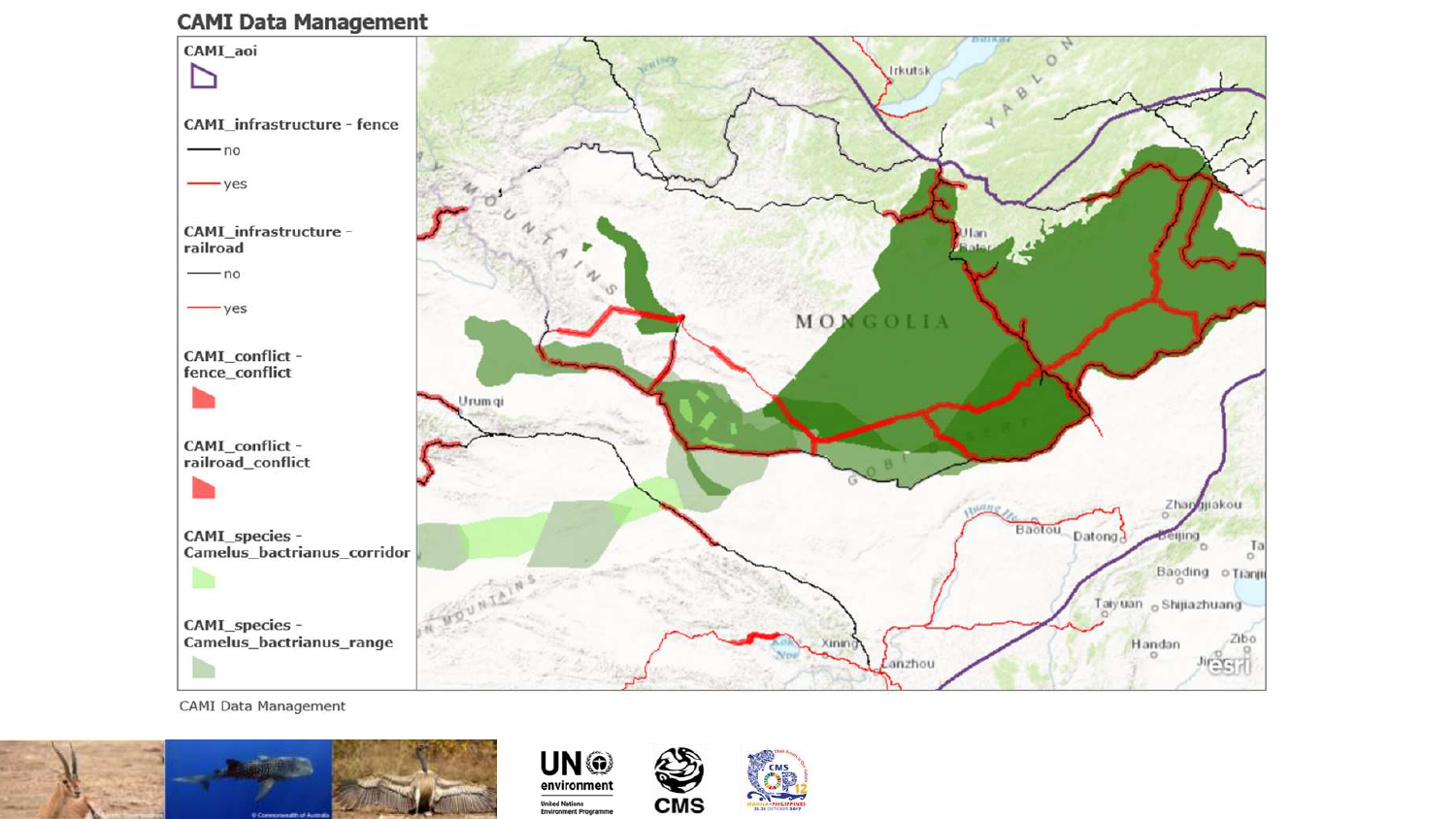





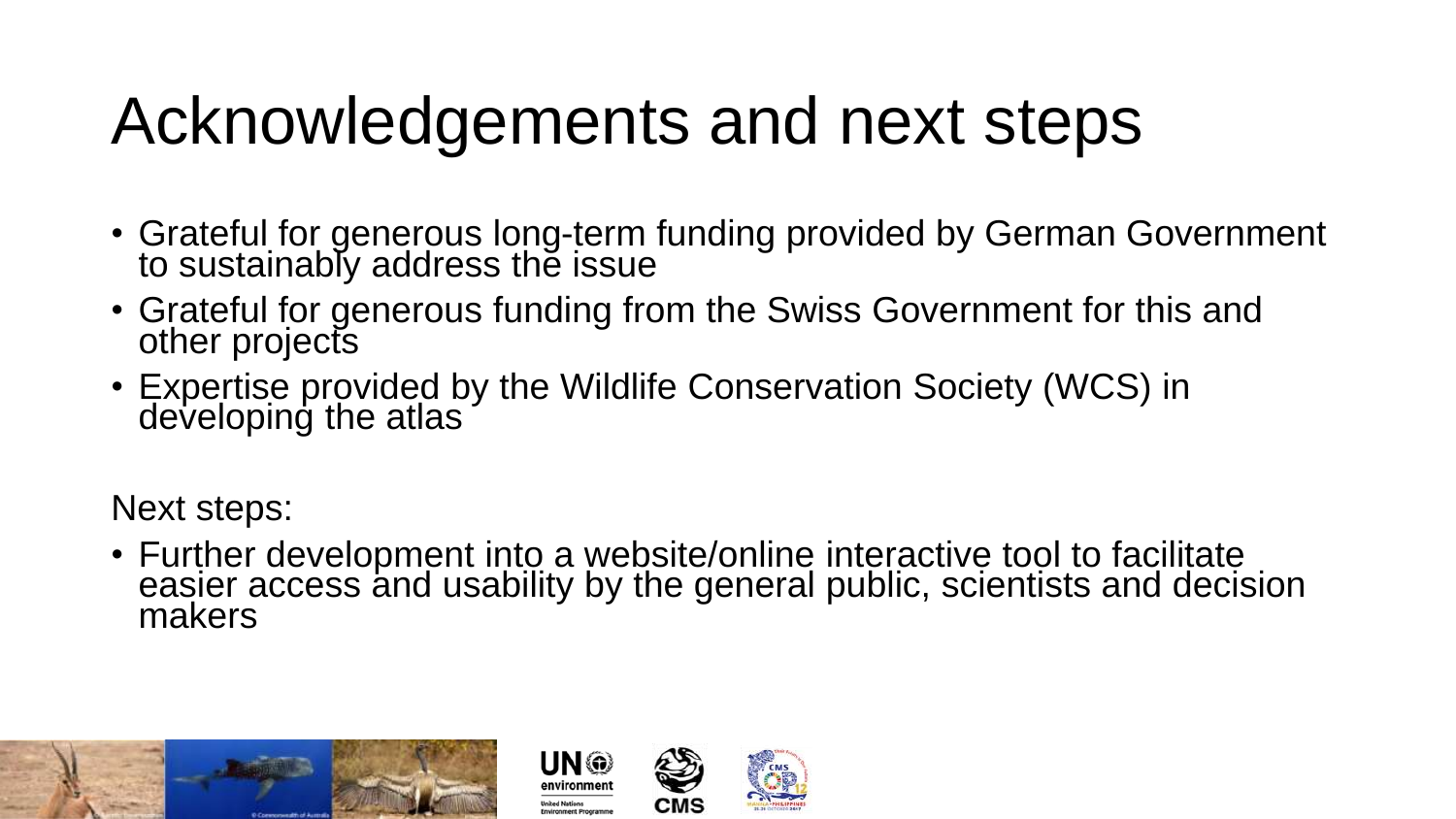### Acknowledgements and next steps

- Grateful for generous long-term funding provided by German Government to sustainably address the issue
- Grateful for generous funding from the Swiss Government for this and other projects
- Expertise provided by the Wildlife Conservation Society (WCS) in developing the atlas

Next steps:

• Further development into a website/online interactive tool to facilitate easier access and usability by the general public, scientists and decision makers